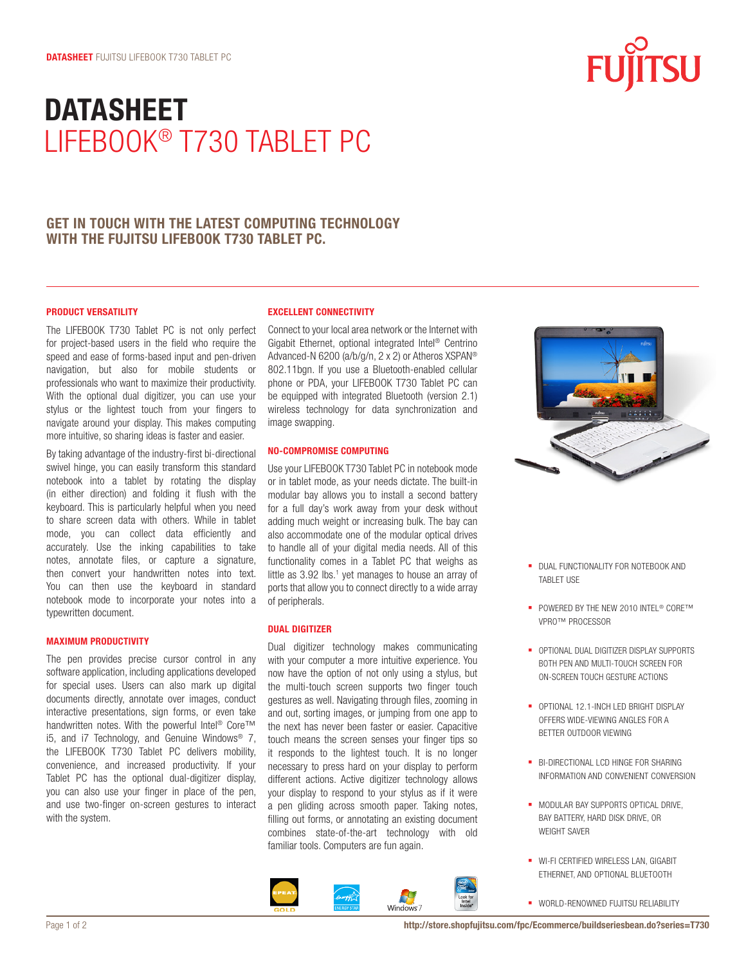# **datasheet** LifeBook® T730 Tablet PC

### **Get in touch with the latest computing technology with the Fujitsu LifeBook T730 Tablet PC.**

### **Product Versatility**

The LIFEBOOK T730 Tablet PC is not only perfect for project-based users in the field who require the speed and ease of forms-based input and pen-driven navigation, but also for mobile students or professionals who want to maximize their productivity. With the optional dual digitizer, you can use your stylus or the lightest touch from your fingers to navigate around your display. This makes computing more intuitive, so sharing ideas is faster and easier.

By taking advantage of the industry-first bi-directional swivel hinge, you can easily transform this standard notebook into a tablet by rotating the display (in either direction) and folding it flush with the keyboard. This is particularly helpful when you need to share screen data with others. While in tablet mode, you can collect data efficiently and accurately. Use the inking capabilities to take notes, annotate files, or capture a signature, then convert your handwritten notes into text. You can then use the keyboard in standard notebook mode to incorporate your notes into a typewritten document.

#### **Maximum Productivity**

The pen provides precise cursor control in any software application, including applications developed for special uses. Users can also mark up digital documents directly, annotate over images, conduct interactive presentations, sign forms, or even take handwritten notes. With the powerful Intel<sup>®</sup> Core™ i5, and i7 Technology, and Genuine Windows® 7, the LIFEBOOK T730 Tablet PC delivers mobility, convenience, and increased productivity. If your Tablet PC has the optional dual-digitizer display, you can also use your finger in place of the pen, and use two-finger on-screen gestures to interact with the system.

### **Excellent Connectivity**

Connect to your local area network or the Internet with Gigabit Ethernet, optional integrated Intel® Centrino Advanced-N 6200 (a/b/g/n, 2 x 2) or Atheros XSPAN® 802.11bgn. If you use a Bluetooth-enabled cellular phone or PDA, your LIFEBOOK T730 Tablet PC can be equipped with integrated Bluetooth (version 2.1) wireless technology for data synchronization and image swapping.

### **No-Compromise Computing**

Use your LIFEBOOK T730 Tablet PC in notebook mode or in tablet mode, as your needs dictate. The built-in modular bay allows you to install a second battery for a full day's work away from your desk without adding much weight or increasing bulk. The bay can also accommodate one of the modular optical drives to handle all of your digital media needs. All of this functionality comes in a Tablet PC that weighs as little as  $3.92$  lbs.<sup>1</sup> yet manages to house an array of ports that allow you to connect directly to a wide array of peripherals.

### **Dual Digitizer**

Dual digitizer technology makes communicating with your computer a more intuitive experience. You now have the option of not only using a stylus, but the multi-touch screen supports two finger touch gestures as well. Navigating through files, zooming in and out, sorting images, or jumping from one app to the next has never been faster or easier. Capacitive touch means the screen senses your finger tips so it responds to the lightest touch. It is no longer necessary to press hard on your display to perform different actions. Active digitizer technology allows your display to respond to your stylus as if it were a pen gliding across smooth paper. Taking notes, filling out forms, or annotating an existing document combines state-of-the-art technology with old familiar tools. Computers are fun again.





- **DUAL FUNCTIONALITY FOR NOTEBOOK AND** TABLET USE
- POWERED BY THE NEW 2010 INTEL<sup>®</sup> CORE™ vPro™ processor
- § Optional dual digitizer display supports both pen and multi-touch screen for on-screen touch gesture actions
- OPTIONAL 12.1-INCH LED BRIGHT DISPLAY offers wide-viewing angles for a better outdoor viewing
- § Bi-directional LCD hinge for sharing information and convenient conversion
- **MODULAR BAY SUPPORTS OPTICAL DRIVE,** bay battery, hard disk drive, or weight saver
- **WI-FI CERTIFIED WIRELESS LAN, GIGABIT** Ethernet, and optional Bluetooth
- § World-renowned Fujitsu reliability